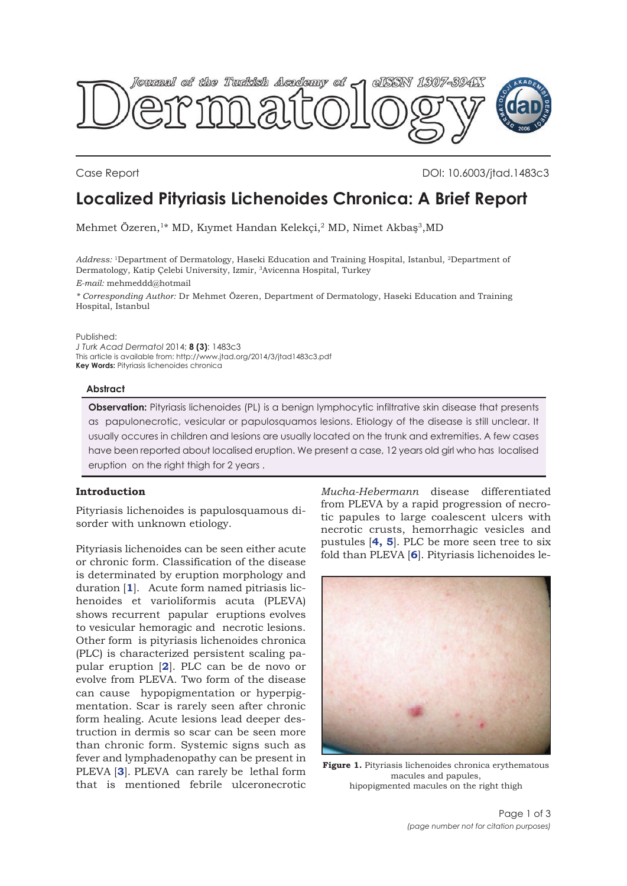<span id="page-0-0"></span>

Case Report DOI: 10.6003/jtad.1483c3

# **Localized Pityriasis Lichenoides Chronica: A Brief Report**

Mehmet Özeren,<sup>1\*</sup> MD, Kıymet Handan Kelekci,<sup>2</sup> MD, Nimet Akbas<sup>3</sup>, MD

*Address:* 1Department of Dermatology, Haseki Education and Training Hospital, Istanbul, 2Department of Dermatology, Katip Çelebi University, Izmir, 3Avicenna Hospital, Turkey *E-mail:* mehmeddd@hotmail

*\* Corresponding Author:* Dr Mehmet Özeren, Department of Dermatology, Haseki Education and Training Hospital, Istanbul

Published:

*J Turk Acad Dermatol* 2014; **8 (3)**: 1483c3 This article is available from: http://www.jtad.org/2014/3/jtad1483c3.pdf **Key Words:** Pityriasis lichenoides chronica

### **Abstract**

**Observation:** Pityriasis lichenoides (PL) is a benign lymphocytic infiltrative skin disease that presents as papulonecrotic, vesicular or papulosquamos lesions. Etiology of the disease is still unclear. It usually occures in children and lesions are usually located on the trunk and extremities. A few cases have been reported about localised eruption. We present a case, 12 years old girl who has localised eruption on the right thigh for 2 years .

## **Introduction**

Pityriasis lichenoides is papulosquamous disorder with unknown etiology.

Pityriasis lichenoides can be seen either acute or chronic form. Classification of the disease is determinated by eruption morphology and duration [**[1](#page-2-0)**]. Acute form named pitriasis lichenoides et varioliformis acuta (PLEVA) shows recurrent papular eruptions evolves to vesicular hemoragic and necrotic lesions. Other form is pityriasis lichenoides chronica (PLC) is characterized persistent scaling papular eruption [**[2](#page-2-0)**]. PLC can be de novo or evolve from PLEVA. Two form of the disease can cause hypopigmentation or hyperpigmentation. Scar is rarely seen after chronic form healing. Acute lesions lead deeper destruction in dermis so scar can be seen more than chronic form. Systemic signs such as fever and lymphadenopathy can be present in PLEVA [**[3](#page-2-0)**]. PLEVA can rarely be lethal form that is mentioned febrile ulceronecrotic *Mucha-Hebermann* disease differentiated from PLEVA by a rapid progression of necrotic papules to large coalescent ulcers with necrotic crusts, hemorrhagic vesicles and pustules [**[4,](#page-2-0) [5](#page-2-0)**]. PLC be more seen tree to six fold than PLEVA [**[6](#page-2-0)**]. Pityriasis lichenoides le-



Figure 1. Pityriasis lichenoides chronica erythematous macules and papules, hipopigmented macules on the right thigh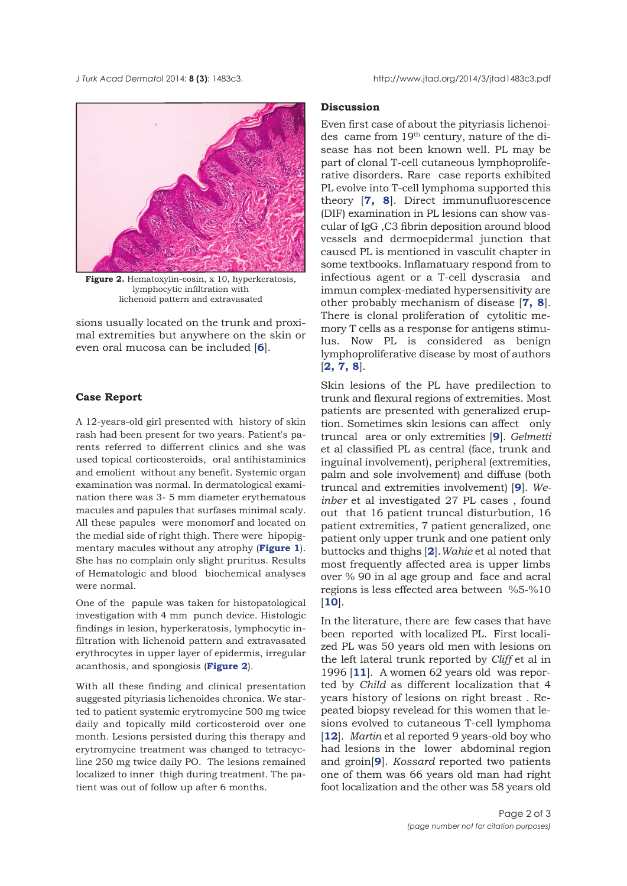

**Figure 2.** Hematoxylin-eosin, x 10, hyperkeratosis, lymphocytic infiltration with lichenoid pattern and extravasated

sions usually located on the trunk and proximal extremities but anywhere on the skin or even oral mucosa can be included [**[6](#page-2-0)**].

### **Case Report**

A 12-years-old girl presented with history of skin rash had been present for two years. Patient's parents referred to differrent clinics and she was used topical corticosteroids, oral antihistaminics and emolient without any benefit. Systemic organ examination was normal. In dermatological examination there was 3- 5 mm diameter erythematous macules and papules that surfases minimal scaly. All these papules were monomorf and located on the medial side of right thigh. There were hipopigmentary macules without any atrophy (**[Figure 1](#page-0-0)**). She has no complain only slight pruritus. Results of Hematologic and blood biochemical analyses were normal.

One of the papule was taken for histopatological investigation with 4 mm punch device. Histologic findings in lesion, hyperkeratosis, lymphocytic infiltration with lichenoid pattern and extravasated erythrocytes in upper layer of epidermis, irregular acanthosis, and spongiosis (**Figure 2**).

With all these finding and clinical presentation suggested pityriasis lichenoides chronica. We started to patient systemic erytromycine 500 mg twice daily and topically mild corticosteroid over one month. Lesions persisted during this therapy and erytromycine treatment was changed to tetracycline 250 mg twice daily PO. The lesions remained localized to inner thigh during treatment. The patient was out of follow up after 6 months.

#### **Discussion**

Even first case of about the pityriasis lichenoides came from 19th century, nature of the disease has not been known well. PL may be part of clonal T-cell cutaneous lymphoproliferative disorders. Rare case reports exhibited PL evolve into T-cell lymphoma supported this theory [**[7,](#page-2-0) [8](#page-2-0)**]. Direct immunufluorescence (DIF) examination in PL lesions can show vascular of IgG ,C3 fibrin deposition around blood vessels and dermoepidermal junction that caused PL is mentioned in vasculit chapter in some textbooks. lnflamatuary respond from to infectious agent or a T-cell dyscrasia and immun complex-mediated hypersensitivity are other probably mechanism of disease [**[7,](#page-2-0) [8](#page-2-0)**]. There is clonal proliferation of cytolitic memory T cells as a response for antigens stimulus. Now PL is considered as benign lymphoproliferative disease by most of authors [**[2, 7,](#page-2-0) [8](#page-2-0)**].

Skin lesions of the PL have predilection to trunk and flexural regions of extremities. Most patients are presented with generalized eruption. Sometimes skin lesions can affect only truncal area or only extremities [**[9](#page-2-0)**]. *Gelmetti* et al classified PL as central (face, trunk and inguinal involvement), peripheral (extremities, palm and sole involvement) and diffuse (both truncal and extremities involvement) [**[9](#page-2-0)**]. *Weinber* et al investigated 27 PL cases , found out that 16 patient truncal disturbution, 16 patient extremities, 7 patient generalized, one patient only upper trunk and one patient only buttocks and thighs [**[2](#page-2-0)**].*Wahie* et al noted that most frequently affected area is upper limbs over % 90 in al age group and face and acral regions is less effected area between %5-%10 [**[10](#page-2-0)**].

In the literature, there are few cases that have been reported with localized PL. First localized PL was 50 years old men with lesions on the left lateral trunk reported by *Cliff* et al in 1996 [**[11](#page-2-0)**]. A women 62 years old was reported by *Child* as different localization that 4 years history of lesions on right breast . Repeated biopsy revelead for this women that lesions evolved to cutaneous T-cell lymphoma [[12](#page-2-0)]. *Martin* et al reported 9 years-old boy who had lesions in the lower abdominal region and groin[**[9](#page-2-0)**]. *Kossard* reported two patients one of them was 66 years old man had right foot localization and the other was 58 years old